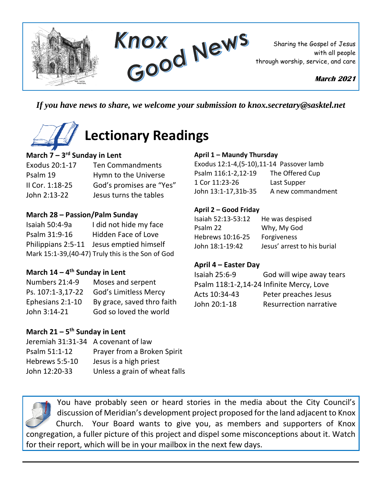

*If you have news to share, we welcome your submission to knox.secretary@sasktel.net*

# **Lectionary Readings**

### **March 7 – 3 rd Sunday in Lent**

### Exodus 20:1-17 Ten Commandments Psalm 19 Hymn to the Universe II Cor. 1:18-25 God's promises are "Yes" John 2:13-22 Jesus turns the tables

#### **March 28 – Passion/Palm Sunday**

Isaiah 50:4-9a I did not hide my face Psalm 31:9-16 Hidden Face of Love Philippians 2:5-11 Jesus emptied himself Mark 15:1-39,(40-47) Truly this is the Son of God

#### **March 14 – 4 th Sunday in Lent**

| Numbers 21:4-9    | Moses and serpent          |
|-------------------|----------------------------|
| Ps. 107:1-3,17-22 | God's Limitless Mercy      |
| Ephesians 2:1-10  | By grace, saved thro faith |
| John 3:14-21      | God so loved the world     |

# **March 21 – 5 th Sunday in Lent**

| Jeremiah 31:31-34 A covenant of law |                               |
|-------------------------------------|-------------------------------|
| Psalm 51:1-12                       | Prayer from a Broken Spirit   |
| Hebrews 5:5-10                      | Jesus is a high priest        |
| John 12:20-33                       | Unless a grain of wheat falls |

#### **April 1 – Maundy Thursday**

Exodus 12:1-4,(5-10),11-14 Passover lamb Psalm 116:1-2,12-19 The Offered Cup 1 Cor 11:23-26 Last Supper John 13:1-17,31b-35 A new commandment

#### **April 2 – Good Friday**

| He was despised             |
|-----------------------------|
| Why, My God                 |
| Forgiveness                 |
| Jesus' arrest to his burial |
|                             |

#### **April 4 – Easter Day**

| Isaiah 25:6-9                            | God will wipe away tears      |
|------------------------------------------|-------------------------------|
| Psalm 118:1-2,14-24 Infinite Mercy, Love |                               |
| Acts 10:34-43                            | Peter preaches Jesus          |
| John 20:1-18                             | <b>Resurrection narrative</b> |
|                                          |                               |

You have probably seen or heard stories in the media about the City Council's discussion of Meridian's development project proposed for the land adjacent to Knox Church. Your Board wants to give you, as members and supporters of Knox congregation, a fuller picture of this project and dispel some misconceptions about it. Watch for their report, which will be in your mailbox in the next few days.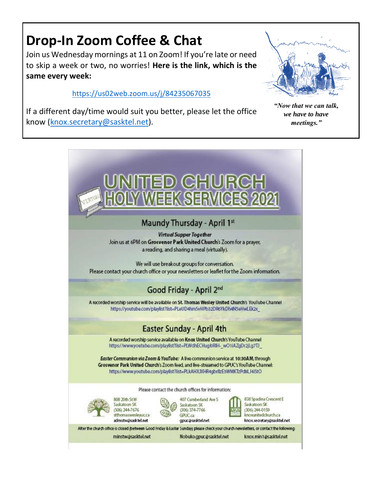# **Drop-In Zoom Coffee & Chat**

Join us Wednesday mornings at 11 on Zoom! If you're late or need to skip a week or two, no worries! **Here is the link, which is the same every week:** 

<https://us02web.zoom.us/j/84235067035>



If a different day/time would suit you better, please let the office know [\(knox.secretary@sasktel.net\)](mailto:knox.secretary@sasktel.net).

*"Now that we can talk, we have to have meetings."*